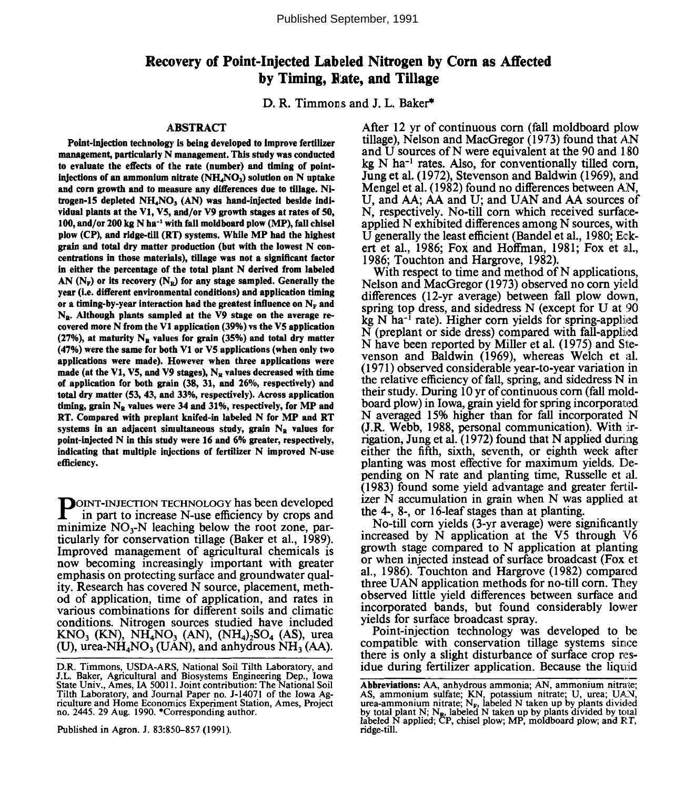Published September, 1991

# **Recovery of Point-Injected Labeled Nitrogen by Corn as Affected by Timing, B ate, and Tillage**

D. R. Timmons and J. L. Baker\*

#### **ABSTRACT**

**Point-injection technology is being developed to improve fertilizer management, particularly N management. This study was conducted to evaluate the effects of the rate (number) and timing of pointinjections of an ammonium nitrate (NH4NO3) solution on N uptake and corn growth and to measure any differences due to tillage. Nitrogen-15 depleted NH4NO3 (AN) was hand-injected beside individual plants at the VI, V5, and/or V9 growth stages at rates of 50, 100, and/or 200 kg N ha-<sup>1</sup> with fall moldboard plow (MP), fall chisel plow (CP), and ridge-till (RT) systems. While MP had the highest grain and total dry matter production (but with the lowest N concentrations in those materials), tillage was not a significant factor in either the percentage of the total plant N derived from labeled** AN  $(N_F)$  or its recovery  $(N_R)$  for any stage sampled. Generally the **year (i.e. different environmental conditions) and application timing** or a timing-by-year interaction had the greatest influence on  $N_F$  and **NR. Although plants sampled at the V9 stage on the average recovered more N from the VI application (39%) vs the VS application (27%), at maturity NR values for grain (35%) and total dry matter (47%) were the same for both VI or V5 applications (when only two applications were made). However when three applications were** made (at the V1, V5, and V9 stages), N<sub>R</sub> values decreased with time **of application for both grain (38, 31, and 26%, respectively) and total dry matter (53, 43, and 33%, respectively). Across application timing, grain NB values were 34 and 31%, respectively, for MP and RT. Compared with preplant knifed-in labeled N for MP and RT systems in an adjacent simultaneous study, grain NR values for point-injected N in this study were 16 and 6% greater, respectively, indicating that multiple injections of fertilizer N improved N-use efficiency.**

**POINT-INJECTION TECHNOLOGY has been developed**<br>in part to increase N-use efficiency by crops and in part to increase N-use efficiency by crops and minimize  $NO_3-N$  leaching below the root zone, particularly for conservation tillage (Baker et al., 1989). Improved management of agricultural chemicals is now becoming increasingly important with greater emphasis on protecting surface and groundwater quality. Research has covered N source, placement, method of application, time of application, and rates in various combinations for different soils and climatic conditions. Nitrogen sources studied have included  $KNO_3$  (KN), NH<sub>4</sub>NO<sub>3</sub> (AN), (NH<sub>4</sub>)<sub>2</sub>SO<sub>4</sub> (AS), urea (U), urea-NH<sub>4</sub>NO<sub>3</sub> (UAN), and anhydrous NH<sub>3</sub> (AA).

Published in Agron. J. 83:850-857 (1991).

After 12 yr of continuous corn (fall moldboard plow tillage), Nelson and MacGregor (1973) found that AN and U sources of N were equivalent at the 90 and 180 kg N ha<sup>-1</sup> rates. Also, for conventionally tilled corn, Jung et al. (1972), Stevenson and Baldwin (1969), and Mengel et al. (1982) found no differences between AN, U, and AA; AA and U; and UAN and A^ sources of N, respectively. No-till corn which received surfaceapplied N exhibited differences among N sources, with U generally the least efficient (Bandel et al., 1980; Eckert et al., 1986; Fox and Hoffman, 1981; Fox et al., 1986; Touchton and Hargrove, 1982).

With respect to time and method of N applications, Nelson and MacGregor (1973) observed no corn yield differences (12-yr average) between fall plow down, spring top dress, and sidedress N (except for U at 90 kg  $N$  ha<sup>-1</sup> rate). Higher corn yields for spring-applied N (preplant or side dress) compared with fall-applied N have been reported by Miller et al. (1975) and Stevenson and Baldwin (1969), whereas Welch et al. (1971) observed considerable year-to-year variation in the relative efficiency of fall, spring, and sidedress N in their study. During 10 yr of continuous corn (fall moldboard plow) in Iowa, grain yield for spring incorporated N averaged 15% higher than for fall incorporated N (J.R. Webb, 1988, personal communication). With irrigation, Jung et al. (1972) found that N applied during either the fifth, sixth, seventh, or eighth week after planting was most effective for maximum yields. Depending on N rate and planting time, Russelle et al. (1983) found some yield advantage and greater fertilizer N accumulation in grain when N was applied at the 4-, 8-, or 16-leaf stages than at planting.

No-till corn yields (3-yr average) were significantly increased by N application at the V5 through V6 growth stage compared to N application at planting or when injected instead of surface broadcast (Fox et al., 1986). Touchton and Hargrove (1982) compared three UAN application methods for no-till corn. They observed little yield differences between surface arid incorporated bands, but found considerably lower yields for surface broadcast spray.

Point-injection technology was developed to be compatible with conservation tillage systems since there is only a slight disturbance of surface crop residue during fertilizer application. Because the liquid

D.R. Timmons, USDA-ARS, National Soil Tilth Laboratory, and J.L. Baker, Agricultural and Biosystems Engineering Dep., Iowa State Univ., Ames, IA 50011. Joint contribution: The National Soil Tilth Laboratory, and Journal Paper no. J-14071 of the Iowa Agriculture and Home Economics Experiment Station, Ames, Project no. 2445. 29 Aug. 1990. 'Corresponding author.

**Abbreviations:** AA, anhydrous ammonia; AN, ammonium nitrate; AS, ammonium sulfate; KN, potassium nitrate; U, urea; UAN, urea-ammonium nitrate; N<sub>F</sub>, labeled N taken up by plants divided by total plant N; N<sub>F</sub>, labeled N taken up by plants divided by total labeled N applied; CP, chi ridge-till.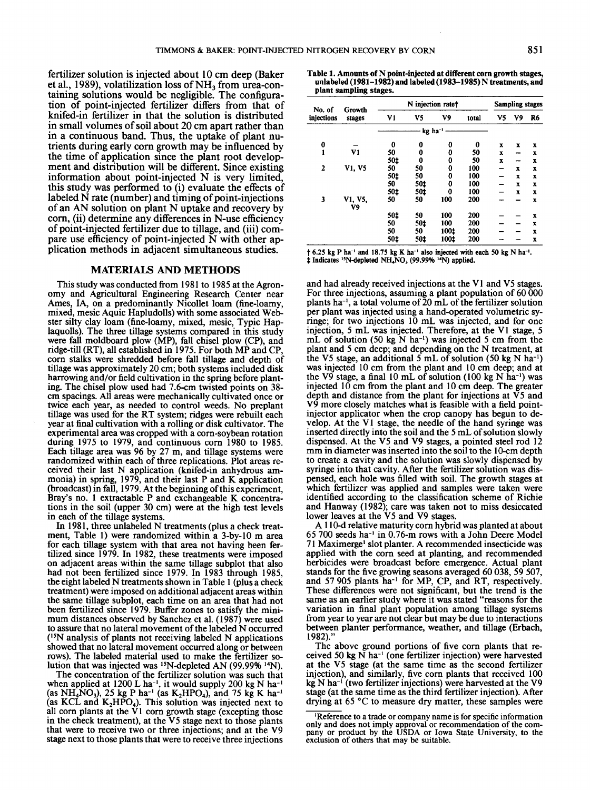fertilizer solution is injected about 10 cm deep (Baker et al., 1989), volatilization loss of  $NH<sub>3</sub>$  from urea-containing solutions would be negligible. The configuration of point-injected fertilizer differs from that of knifed-in fertilizer in that the solution is distributed in small volumes of soil about 20 cm apart rather than in **a** continuous band. Thus, the uptake of plant nutrients during early corn growth may be influenced by the time of application since the plant root development and distribution will be different. Since existing information about point-injected N is very limited, this study was performed to (i) evaluate the effects of labeled N rate (number) and timing of point-injections of an AN solution on plant N uptake and recovery by corn, (ii) determine any differences in N-use efficiency of point-injected fertilizer due to tillage, and (iii) compare use efficiency of point-injected N with other application methods in adjacent simultaneous studies.

## **MATERIALS AND METHODS**

This study was conducted from 1981 to 1985 at the Agronomy and Agricultural Engineering Research Center near Ames, IA, on a predominantly Nicollet loam (fine-loamy, mixed, mesic Aquic Hapludolls) with some associated Webster silty clay loam (fine-loamy, mixed, mesic, Typic Haplaquolls). The three tillage systems compared in this study were fall moldboard plow (MP), fall chisel plow (CP), and ridge-till (RT), all established in 1975. For both MP and CP, corn stalks were shredded before fall tillage and depth of tillage was approximately 20 cm; both systems included disk harrowing and/or field cultivation in the spring before planting. The chisel plow used had 7.6-cm twisted points on 38cm spacings. All areas were mechanically cultivated once or twice each year, as needed to control weeds. No preplant tillage was used for the RT system; ridges were rebuilt each year at final cultivation with a rolling or disk cultivator. The experimental area was cropped with a corn-soybean rotation during 1975 to 1979, and continuous corn 1980 to 1985. Each tillage area was 96 by 27 m, and tillage systems were randomized within each of three replications. Plot areas received their last N application (knifed-in anhydrous ammonia) in spring, 1979, and their last P and K application (broadcast) in fall, 1979. At the beginning of this experiment, Bray's no. 1 extractable P and exchangeable K concentrations in the soil (upper 30 cm) were at the high test levels in each of the tillage systems.

In 1981, three unlabeled N treatments (plus a check treatment, Table 1) were randomized within a 3-by-10 m area for each tillage system with that area not having been fertilized since 1979. In 1982, these treatments were imposed on adjacent areas within the same tillage subplot that also had not been fertilized since 1979. In 1983 through 1985, the eight labeled N treatments shown in Table 1 (plus a check treatment) were imposed on additional adjacent areas within the same tillage subplot, each time on an area that had not been fertilized since 1979. Buffer zones to satisfy the minimum distances observed by Sanchez et al. (1987) were used to assure that no lateral movement of the labeled N occurred (15N analysis of plants not receiving labeled N applications showed that no lateral movement occurred along or between rows). The labeled material used to make the fertilizer solution that was injected was <sup>15</sup>N-depleted AN (99.99% <sup>14</sup>N).

The concentration of the fertilizer solution was such that when applied at  $1200$  L ha<sup>-1</sup>, it would supply 200 kg N ha<sup>-1</sup> (as  $NH_4NO_3$ ), 25 kg P ha<sup>-1</sup> (as K<sub>2</sub>HPO<sub>4</sub>), and 75 kg K ha<sup>-1</sup> (as KCL and  $K_2HPO_4$ ). This solution was injected next to all corn plants at the  $\dot{V}1$  corn growth stage (excepting those in the check treatment), at the **V5** stage next to those plants that were to receive two or three injections; and at the V9 stage next to those plants that were to receive three injections

**plant sampling stages.** 

| No. of         | Growth        |     | N injection rate+     | <b>Sampling stages</b> |       |    |    |    |
|----------------|---------------|-----|-----------------------|------------------------|-------|----|----|----|
| injections     | stages        | V1  | V5                    | V9                     | total | V5 | V9 | R6 |
|                |               |     | $kg$ ha <sup>-1</sup> |                        |       |    |    |    |
| 0              |               | 0   | 0                     | 0                      | 0     | x  | x  | x  |
| 1              | V1            | 50  | 0                     | 0                      | 50    | x  |    | x  |
|                |               | 50‡ | 0                     | 0                      | 50    | x  |    | x  |
| $\overline{2}$ | V1, V5        | 50  | 50                    | 0                      | 100   |    | x  | x  |
|                |               | 50‡ | 50                    | 0                      | 100   |    | x  | x  |
|                |               | 50  | 50±                   | 0                      | 100   |    | x  | x  |
|                |               | 50‡ | 50t                   | 0                      | 100   |    | x  | x  |
| 3              | V1, V5.<br>V9 | 50  | 50                    | 100                    | 200   |    |    | x  |
|                |               | 50‡ | 50                    | 100                    | 200   |    |    | x  |
|                |               | 50  | 50±                   | 100                    | 200   |    |    | x  |
|                |               | 50  | 50                    | 100±                   | 200   |    |    | x  |
|                |               | 50‡ | 50‡                   | 100‡                   | 200   |    |    | x  |

**t 6.25 kg P ha-l and 18.75 kg K ha-I also injected with each SO kg N ha-'.**   $\ddagger$  Indicates <sup>15</sup>N-depleted NH<sub>4</sub>NO<sub>3</sub> (99.99% <sup>14</sup>N) applied.

and had already received injections at the V1 and V5 stages. For three injections, assuming a plant population of  $60\,000$ plants ha-', a total volume of 20 mL of the fertilizer solution per plant was injected using a hand-operated volumetric syringe; for two injections 10 mL was injected, and for one injection, 5 mL was injected. Therefore, at the V1 stage, 5 mL of solution (50 kg  $\overline{N}$  ha<sup>-1</sup>) was injected 5 cm from the plant and 5 cm deep; and depending on the N treatment, at the V5 stage, an additional 5 mL of solution (50 kg N ha<sup>-1</sup>) was injected 10 cm from the plant and 10 cm deep; and at the V9 stage, a final 10 mL of solution (100 kg N ha<sup>-1</sup>) was injected 10 cm from the plant and 10 cm deep. The greater depth and distance from the plant for injections at  $\check{V}5$  and V9 more closely matches what is feasible with a field pointinjector applicator when the crop canopy has begun to develop. At the V1 stage, the needle of the hand syringe was inserted directly into the soil and the 5 mL of solution slowly dispensed. At the V5 and V9 stages, a pointed steel rod 12 mm in diameter was inserted into the soil to the 10-cm depth to create a cavity and the solution was slowly dispensed by syringe into that cavity. After the fertilizer solution was dispensed, each hole was filled with soil. The growth stages at which fertilizer was applied and samples were taken were identified according to the classification scheme of Richie and Hanway (1982); care was taken not to miss desiccated lower leaves at the V5 and V9 stages.

A 1 10-d relative maturity corn hybrid was planted at about 65 700 seeds ha-' in 0.76-m rows with a John Deere Model 7 1 Maximerge' slot planter. A recommended insecticide was applied with the corn seed at planting, and recommended herbicides were broadcast before emergence. Actual plant stands for the five growing seasons averaged 60 038,59 507, and 57 905 plants ha<sup>-1</sup> for MP, CP, and RT, respectively. These differences were not significant, but the trend is the same as an earlier study where it was stated "reasons for the variation in final plant population among tillage systems from year to year are not clear but may be due to interactions between planter performance, weather, and tillage (Erbach, 1982)."

The above ground portions of five corn plants that received 50 kg N ha-' (one fertilizer injection) were harvested at the V5 stage (at the same time as the second fertilizer injection), and similarly, five corn plants that received 100 kg N ha<sup>-1</sup> (two fertilizer injections) were harvested at the V9 stage (at the same time as the third fertilizer injection). After drying at 65 "C to measure dry matter, these samples were

<sup>&#</sup>x27;Reference **to a trade** or **company name is for specific information only and does not imply approval or recommendation of the com- pany** or **product by the USDA** *or* **Iowa State University, to the exclusion of others that may be suitable.**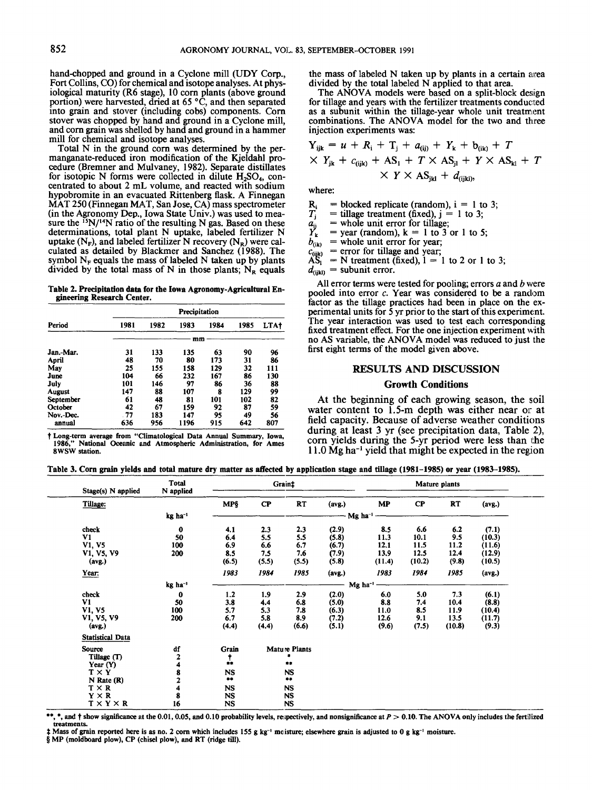hand-chopped and ground in a Cyclone mill (UDY Corp., Fort Collins, CO) for chemical and isotope analyses. At physiological maturity (R6 stage), 10 corn plants (above ground portion) were harvested, dried at *65* "C, and then separated into grain and stover (including cobs) components. Corn stover was chopped by hand and ground in a Cyclone mill, and corn grain was shelled by hand and ground in a hammer mill for chemical and isotope analyses.

Total N in the ground corn was determined by the permanganate-reduced iron modification of the Kjeldahl procedure (Bremner arid Mulvaney, 1982). Separate distillates for isotopic N forms were collected in dilute H<sub>2</sub>SO<sub>4</sub>, concentrated to about 2 mL volume, and reacted with sodium hypobromite in an evacuated Rittenberg flask. A Finnegan MAT 250 (Finnegan MAT, San Jose, CA) mass spectrometer (in the Agronomy Dep., Iowa State Univ.) was used to measure the <sup>15</sup>N/<sup>14</sup>N ratio of the resulting N gas. Based on these determinations, total plant N uptake, labeled fertilizer N uptake  $(N_F)$ , and labeled fertilizer N recovery  $(N_R)$  were calculated as detailed by Hlackmer and Sanchez (1988). The symbol  $N_F$  equals the mass of labeled N taken up by plants divided by the total mass of N in those plants;  $N_R$  equals

**gineering Research Center.** 

| Table 2. Precipitation data for the Iowa Agronomy-Agricultural En-<br>gineering Research Center. |               |      |      |      |      |      |  |  |  |  |  |  |
|--------------------------------------------------------------------------------------------------|---------------|------|------|------|------|------|--|--|--|--|--|--|
|                                                                                                  | Precipitation |      |      |      |      |      |  |  |  |  |  |  |
| Period                                                                                           | 1981          | 1982 | 1983 | 1984 | 1985 | LTA+ |  |  |  |  |  |  |
|                                                                                                  | mm            |      |      |      |      |      |  |  |  |  |  |  |
| Jan.-Mar.                                                                                        | 31            | 133  | 135  | 63   | 90   | 96   |  |  |  |  |  |  |
| April                                                                                            | 48            | 70   | 80   | 173  | 31   | 86   |  |  |  |  |  |  |
| May                                                                                              | 25            | 155  | 158  | 129  | 32   | 111  |  |  |  |  |  |  |
| June                                                                                             | 104           | 66   | 232  | 167  | 86   | 130  |  |  |  |  |  |  |
| July                                                                                             | 101           | 146  | 97   | 86   | 36   | 88   |  |  |  |  |  |  |
| <b>August</b>                                                                                    | 147           | 88   | 107  | R    | 129  | 99   |  |  |  |  |  |  |
| <b>September</b>                                                                                 | 61            | 48   | 81   | 101  | 102  | 82   |  |  |  |  |  |  |
| October                                                                                          | 42            | 67   | 159  | 92   | 87   | 59   |  |  |  |  |  |  |
| Nov.-Dec.                                                                                        | . 77          | 183  | 147  | 95   | 49   | 56   |  |  |  |  |  |  |
| annual                                                                                           | 636           | 956  | 1196 | 915  | 642  | 807  |  |  |  |  |  |  |

**Long-term average from "C:limatological Data Annual Summary, Iowa, 1986," National Oceanic and Atmospheric Administration, for Ames 8WSW station.** 

the mass of labeled N taken up by plants in a certain area divided by the total labeled N applied to that area.

The ANOVA models were based on a split-block design for tillage and years with the fertilizer treatments conducted as a subunit within the tillage-year whole unit treatment combinations. The ANOVA model for the two and three injection experiments was:

$$
Y_{ijk} = u + R_i + T_j + a_{(ij)} + Y_k + b_{(ik)} + T
$$
  
 
$$
\times Y_{jk} + c_{(ijk)} + AS_1 + T \times AS_{jl} + Y \times AS_{kl} + T
$$
  
 
$$
\times Y \times AS_{jkl} + d_{(ijkl)},
$$

where:

 $R_i$  = blocked replicate (random), i = 1 to 3;<br>  $T_j$  = tillage treatment (fixed), j = 1 to 3;<br>  $a_{ij}$  = whole unit error for tillage;<br>  $Y_k$  = year (random), k = 1 to 3 or 1 to 5;

= whole unit error for tillage;

 $\hat{Y}_{k}$  = year (random),  $k = 1$  to 3 or 1 to 5;<br> $b_{(ik)}$  = whole unit error for year;

 $b_{(ik)}$  = whole unit error for year;<br>  $c_{(ijk)}$  = error for tillage and year;<br>  $AS_i$  = N treatment (fixed), 1 = 1

 $\overline{N} = N$  treatment (fixed),  $1 = 1$  to 2 or 1 to 3;

 $d_{\text{(ijkl)}}$  = subunit error.

All error terms were tested for pooling; errors *a* and *b* were pooled into error c. Year was considered to be a random factor as the tillage practices had been in place on the experimental units for 5 yr prior to the start of this experiment. The year interaction was used to test each corresponding fixed treatment effect. For the one injection experiment with no AS variable, the ANOVA model was reduced to just the first eight terms of the model given above.

# **RESULTS AND DISCUSSION**

#### **Growth Conditions**

At the beginning of each growing season, the soil water content to 1.5-m depth was either near or at field capacity. Because of adverse weather conditions during at least 3 yr (see precipitation data, Table 2), corn yields during the 5-yr period were less than the 1 1 **.O Mg** ha-' yield that might be expected in the regjon

Table 3. Corn grain yields and total mature dry matter as affected by application stage and tillage (1981-1985) or year (1983-1985).

| Stage(s) N applied      | Total<br>N applied  |              |          | Mature plants |        |                       |          |           |        |  |
|-------------------------|---------------------|--------------|----------|---------------|--------|-----------------------|----------|-----------|--------|--|
| Tillage:                |                     | <b>MP§</b>   | $\bf CP$ | <b>RT</b>     | (avg.) | MP                    | $\bf CP$ | <b>RT</b> | (avg.) |  |
|                         | kg ha <sup>-1</sup> |              |          |               |        | - Mg ha <sup>-1</sup> |          |           |        |  |
| check                   | 0                   | 4.1          | 2.3      | 2.3           | (2.9)  | 8.5                   | 6.6      | 6.2       | (7.1)  |  |
| V1                      | 50                  | 6.4          | 5.5      | 5.5           | (5.8)  | 11.3                  | 10.1     | 9.5       | (10.3) |  |
| V1, V5                  | 100                 | 6.9          | 6.6      | 6.7           | (6.7)  | 12.1                  | 11.5     | 11.2      | (11.6) |  |
| V1, V5, V9              | 200                 | 8.5          | 7.5      | 7.6           | (7.9)  | 13.9                  | 12.5     | 12.4      | (12.9) |  |
| (avg.)                  |                     | (6.5)        | (5.5)    | (5.5)         | (5.8)  | (11.4)                | (10.2)   | (9.8)     | (10.5) |  |
| Year:                   |                     | 1983         | 1984     | 1985          | (avg.) | 1983                  | 1984     | 1985      | (avg.) |  |
|                         | kg ha <sup>-1</sup> |              |          |               |        | Mg ha <sup>-1</sup>   |          |           |        |  |
| check                   | $\bf{0}$            | 1.2          | 1.9      | 2.9           | (2.0)  | 6.0                   | 5.0      | 7.3       | (6.1)  |  |
| V1                      | 50                  | 3.8          | 4.4      | 6.8           | (5.0)  | 8.8                   | 7.4      | 10.4      | (8.8)  |  |
| V1, V5                  | 100                 | 5.7          | 5.3      | 7.8           | (6.3)  | 11.0                  | 8.5      | 11.9      | (10.4) |  |
| V1, V5, V9              | 200                 | 6.7          | 5.8      | 8.9           | (7.2)  | 12.6                  | 9.1      | 13.5      | (11.7) |  |
| (avg.)                  |                     | (4.4)        | (4.4)    | (6.6)         | (5.1)  | (9.6)                 | (7.5)    | (10.8)    | (9.3)  |  |
| <b>Statistical Data</b> |                     |              |          |               |        |                       |          |           |        |  |
| Source                  | df                  | Grain        |          | Mature Plants |        |                       |          |           |        |  |
| Tillage (T)             | 2                   | $\mathbf{r}$ |          |               |        |                       |          |           |        |  |
| Year (Y)                | 4                   |              |          | **            |        |                       |          |           |        |  |
| $T \times Y$            | 8                   | <b>NS</b>    |          | <b>NS</b>     |        |                       |          |           |        |  |
| $N$ Rate $(R)$          | 2                   | $***$        |          | **            |        |                       |          |           |        |  |
| $T \times R$            |                     | <b>NS</b>    |          | NS.           |        |                       |          |           |        |  |
| $Y \times R$            | 8                   | NS           |          | <b>NS</b>     |        |                       |          |           |        |  |
| $T \times Y \times R$   | 16                  | NS           |          | <b>NS</b>     |        |                       |          |           |        |  |

\*\*, \*, and  $\dagger$  show significance at the 0.01, 0.05, and 0.10 probability levels, re;pectively, and nonsignificance at *P* > 0.10. The ANOVA only includes the fertilized **treatments.** 

\$ **Mass of grain reported here is as no. 2** corn **which includes 155 g kg-' moisture, elsewhere grain is adjusted to 0 g kg-' moisture.** 

§ MP (moldboard plow), CP (chisel plow), and RT (ridge till).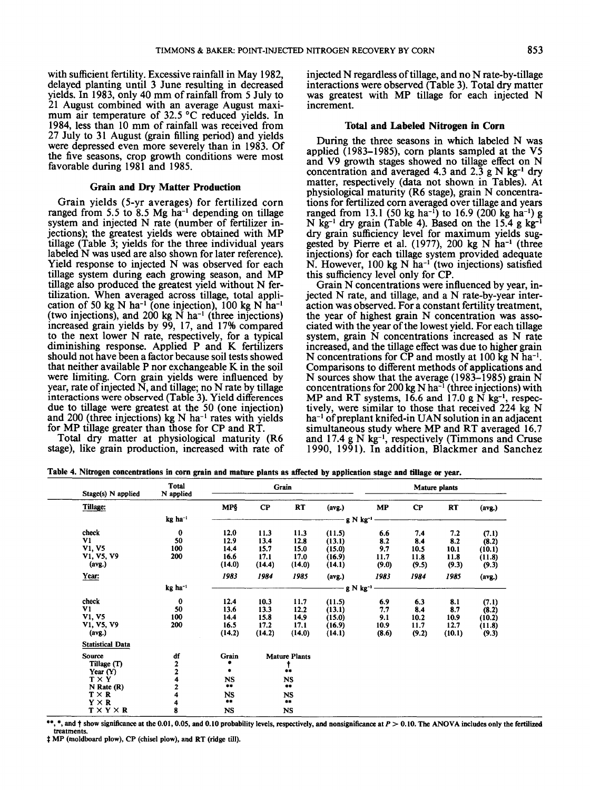with sufficient fertility. Excessive rainfall in May 1982, delayed planting until 3 June resulting in decreased yields. In 1983, only 40 mm of rainfall from 5 July to 21 August combined with an average August maximum air temperature of 32.5 °C reduced yields. In 1984, less than 10 mm of rainfall was received from 27 July to 31 August (grain filling period) and yields were depressed even more severely than in 1983. Of the five seasons, crop growth conditions were most favorable during 1981 and 1985.

## **Grain and Dry Matter Production**

Grain yields (5-yr averages) for fertilized corn ranged from 5.5 to 8.5 Mg ha<sup>-1</sup> depending on tillage system and injected N rate (number of fertilizer injections); the greatest yields were obtained with MP tillage (Table 3; yields for the three individual years labeled N was used are also shown for later reference). Yield response to injected N was observed for each tillage system during each growing season, and MP tillage also produced the greatest yield without N fertilization. When averaged across tillage, total application of 50 kg N ha<sup>-1</sup> (one injection), 100 kg N ha<sup>-1</sup> (two injections), and 200 kg  $\dot{N}$  ha<sup>-1</sup> (three injections) increased grain yields by 99, 17, and 17% compared to the next lower N rate, respectively, for a typical diminishing response. Applied P and K fertilizers should not have been a factor because soil tests showed that neither available P nor exchangeable K in the soil were limiting. Corn grain yields were influenced by year, rate of injected  $\overline{N}$ , and tillage; no  $\overline{N}$  rate by tillage interactions were observed (Table 3). Yield differences due to tillage were greatest at the 50 (one injection) and 200 (three injections) kg  $N$  ha<sup>-1</sup> rates with yields for MP tillage greater than those for CP and RT.

Total dry matter at physiological maturity (R6 stage), like grain production, increased with rate of injected N regardless of tillage, and no N rate-by-tillage interactions were observed (Table 3). Total dry matter was greatest with MP tillage for each injected N increment.

# **Total and Labeled Nitrogen in Corn**

During the three seasons in which labeled N was applied (1983-1985), corn plants sampled at the **V5**  and V9 growth stages showed no tillage effect on N concentration and averaged 4.3 and 2.3 g N **kg-I** dry matter, respectively **(data** not shown in Tables). At physiological maturity (R6 stage), grain N concentrations for fertilized corn averaged over tillage and years ranged from 13.1 (50 kg ha<sup>-1</sup>) to 16.9 (200 kg ha<sup>-1</sup>) g N kg<sup>-1</sup> dry grain (Table 4). Based on the  $15.4$  g kg<sup>-1</sup> *dry* grain sufficiency level for maximum yields **sug**gested by Pierre et al. (1977), 200 **kg N** ha-' (three injections) for each tillage system provided adequate N. However, 100 **kg** N ha-' (two injections) satisfied this sufficiency level only for CP.

Grain N concentrations were influenced by year, injected N rate, and tillage, and a N rate-by-year interaction was observed. For a constant fertility treatment, the year of highest grain N concentration was associated with the year of the lowest yield. For each tillage system, grain N concentrations increased as N rate increased, and the tillage effect was due to higher grain N concentrations for CP and mostly at 100 **kg** N ha-'. Comparisons to different methods of applications and N sources show that the average (1983-1985) grain N concentrations for 200 kg N ha<sup>-1</sup> (three injections) with MP and RT systems, 16.6 and 17.0 **g** N kg-l, respectively, were similar to those that received 224 kg N ha<sup>-1</sup> of preplant knifed-in UAN solution in an adjacent simultaneous study where MP and RT averaged 16.7 and 17.4 g N  $kg^{-1}$ , respectively (Timmons and Cruse 1990, 1991). In addition, Blackmer and Sanchez

**Table 4. Nitrogen concentrations in corn grain and mature plants as alfected by application stage and tillage or year.** 

| Stage(s) N applied      | <b>Total</b><br>N applied |            | Mature plants |                      |                      |               |          |           |        |
|-------------------------|---------------------------|------------|---------------|----------------------|----------------------|---------------|----------|-----------|--------|
| Tillage:                |                           | <b>MPS</b> | $\bf CP$      | RT                   | (avg.)               | MP            | $\bf CP$ | <b>RT</b> | (avg.) |
|                         | $kg$ ha <sup>-1</sup>     |            |               |                      | g N kg <sup>-1</sup> |               |          |           |        |
| check                   | $\bf{0}$                  | 12.0       |               |                      |                      |               |          |           |        |
| V1                      | 50                        | 12.9       | 11.3          | 11.3                 | (11.5)               | 6.6           | 7.4      | 7.2       | (7.1)  |
|                         |                           |            | 13.4          | 12.8                 | (13.1)               | 8.2           | 8.4      | 8.2       | (8.2)  |
| <b>V1, V5</b>           | 100                       | 14.4       | 15.7          | 15.0                 | (15.0)               | 9.7           | 10.5     | 10.1      | (10.1) |
| V1, V5, V9              | 200                       | 16.6       | 17.1          | 17.0                 | (16.9)               | 11.7          | 11.8     | 11.8      | (11.8) |
| (avg.)                  |                           | (14.0)     | (14.4)        | (14.0)               | (14.1)               | (9.0)         | (9.5)    | (9.3)     | (9.3)  |
| Year:                   |                           | 1983       | 1984          | 1985                 | (avg.)               | 1983          | 1984     | 1985      | (avg.) |
|                         | kg ha <sup>-1</sup>       |            |               |                      |                      | $g N kg^{-1}$ |          |           |        |
| check                   | $\mathbf 0$               | 12.4       | 10.3          | 11,7                 | (11.5)               | 6.9           | 6.3      | 8.1       | (7.1)  |
| V1                      | 50                        | 13.6       | 13.3          | 12.2                 | (13.1)               | 7.7           | 8.4      | 8.7       | (8.2)  |
| V1, V5                  | 100                       | 14.4       | 15.8          | 14,9                 | (15.0)               | 9.1           | 10.2     | 10.9      | (10.2) |
| V1, V5, V9              | 200                       | 16.5       | 17.2          | 17.1                 | (16.9)               | 10.9          | 11.7     | 12.7      | (11.8) |
| (avg.)                  |                           | (14.2)     | (14.2)        | (14.0)               | (14.1)               | (8.6)         | (9.2)    | (10.1)    | (9.3)  |
| <b>Statistical Data</b> |                           |            |               |                      |                      |               |          |           |        |
| Source                  | df                        | Grain      |               | <b>Mature Plants</b> |                      |               |          |           |        |
| Tillage (T)             | 2                         |            |               |                      |                      |               |          |           |        |
| Year $(Y)$              | $\bar{\bf{2}}$            | ٠          |               | $\mathbf{I}$         |                      |               |          |           |        |
| $T \times Y$            |                           | <b>NS</b>  |               | <b>NS</b>            |                      |               |          |           |        |
| $N$ Rate $(R)$          | 2                         | $***$      |               | $\bullet\bullet$     |                      |               |          |           |        |
| $T \times R$            |                           | <b>NS</b>  |               | <b>NS</b>            |                      |               |          |           |        |
| $Y \times R$            | 4                         | $***$      |               | $\bullet\bullet$     |                      |               |          |           |        |
| $T \times Y \times R$   | 8                         | <b>NS</b>  |               | <b>NS</b>            |                      |               |          |           |        |

\*\*, \*, and † show significance at the 0.01, 0.05, and 0.10 probability levels, respectively, and nonsignificance at  $P > 0.10$ . The ANOVA includes only the fertilized **treatments.** 

'# **MP (moldboard plow), CP (chisel plow), and RT (ridge till).**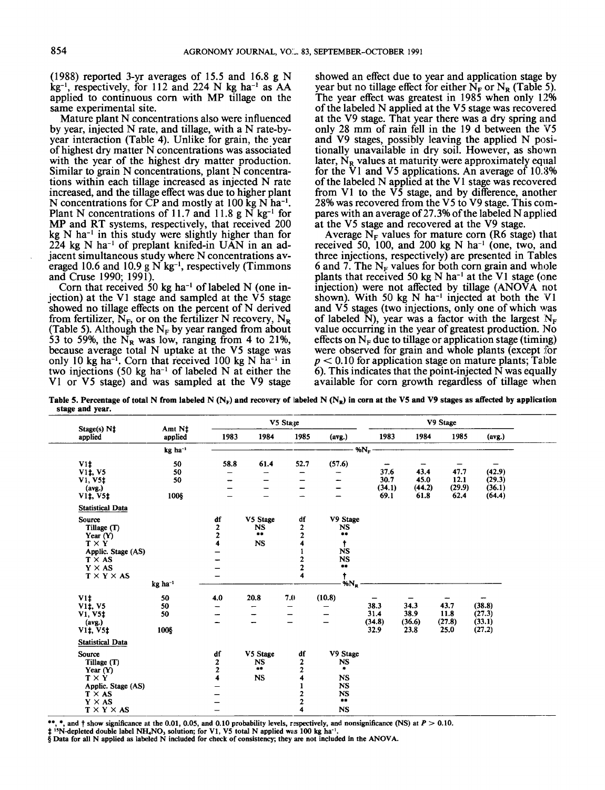(1988) reported 3-yr averages of 15.5 and 16.8 g N  $kg^{-1}$ , respectively, for 112 and 224 N kg ha<sup>-1</sup> as AA applied to continuous corn with MP tillage on the same experimental site.

Mature plant N concentrations also were influenced by year, injected **IV** rate, and tillage, with a N rate-byyear interaction (Table 4). Unlike for grain, the year of highest dry matter N concentrations was associated with the year of the highest *dry* matter production. Similar to grain  $N$  concentrations, plant  $N$  concentrations within each tillage increased as injected N rate increased, and the tillage effect was due to higher plant N concentrations for CP and mostly at  $100 \text{ kg N}$  ha<sup>-1</sup>. Plant N concentrations of 11.7 and 11.8 g N kg<sup>-1</sup> for MP and RT systems, respectively, that received 200  $kg \text{ N}$  ha<sup>-1</sup> in this study were slightly higher than for  $224$  kg N ha<sup>-1</sup> of preplant knifed-in UAN in an adjacent simultaneous study where N concentrations averaged 10.6 and 10.9  $\alpha$  N kg<sup>-1</sup>, respectively (Timmons and Cruse 1990; 1991).

Corn that received 50 kg ha<sup>-1</sup> of labeled N (one injection) at the V1 stage and sampled at the V5 stage showed no tillage effects on the percent of N derived from fertilizer,  $N_F$ , or on the fertilizer N recovery,  $N_B$ (Table 5). Although the  $N_F$  by year ranged from about 53 to 59%, the  $N_R$  was low, ranging from 4 to 21%, because average total N uptake at the V5 stage was only 10 kg ha<sup>-1</sup>. Corn that received 100 kg N ha<sup>-1</sup> in two injections  $(50 \text{ kg } ha^{-1}$  of labeled N at either the VI or V5 stage) and was sampled at the V9 stage

showed an effect due to year and application stage by year but no tillage effect for either  $N_F$  or  $N_R$  (Table 5). The year effect was greatest in 1985 when only 12% of the labeled N applied at the V5 stage was recovered at the V9 stage. That year there was a dry spring and only 28 mm of rain fell in the 19 d between the V5 and  $V9$  stages, possibly leaving the applied N positionally unavailable in dry soil. However, as shown later,  $N_{\rm p}$  values at maturity were approximately equal for the VI and V5 applications. An average of 10.8% of the labeled N applied at the V1 stage was recovered from V1 to the V5 stage, and by difference, another 28% was recovered from the V5 to V9 stage. This compares with an average of 27.3% of the labeled N applied at the V5 stage and recovered at the V9 stage.

Average  $N_F$  values for mature corn (R6 stage) that received 50, 100, and 200 kg  $N$  ha<sup>-1</sup> (one, two, and three injections, respectively) are presented in Tables 6 and 7. The  $N_F$  values for both corn grain and whole plants that received 50 kg  $N$  ha<sup>-1</sup> at the V1 stage (one injection) were not affected by tillage  $(ANOVA$  not shown). With 50 kg N ha<sup>-1</sup> injected at both the  $VI$ and V5 stages (two injections, only one of which was of labeled N), year was a factor with the largest  $N_F$ value occurring in the year of greatest production. No effects on  $N_F$  due to tillage or application stage (timing) were observed for grain and whole plants (except for  $p < 0.10$  for application stage on mature plants; Table  $\overline{6}$ ). This indicates that the point-injected N was equally available for corn growth regardless of tillage when

V5 **SQ3e** V9 **Stage Amt N# applied applied 1983 1984 1985 (avg.)** 1983 1984 1985 (avg.)<br> **applied applied 1983 1984 1985 (avg.)** 1983 1984 1985 (avg.)  $58.8$  61.4  $52.7$  (57.6)  $\begin{array}{cccccc} - & - & - & - \\ - & - & - & - & - \\ - & - & - & - & - \\ - & - & - & - & - \end{array}$   $\begin{array}{c} \text{37.6} & 43.4 & 47.7 & (42.9) \\ 30.7 & 45.0 & 12.1 & (29.3) \\ (34.1) & (44.2) & (29.9) & (36.1) \\ 61.8 & 62.4 & (64.4) \end{array}$ VI# *50*  v<sub>1</sub><br>
v<sub>1</sub>, v<sub>5</sub><br>
v<sub>1</sub>, v<sub>5</sub> *50 50*  (avg.)<br>V1‡, V5‡ 100§ **Statistical Data df** V9Stage **source df** V5 **Stage Tillage** (T) **NS** 2 **NS** \*\*  $\overline{2}$ *8.*   $\frac{2}{4}$ **Year** (Y) **TXY**   $\frac{4}{1}$ 4 **NS**   $\frac{4}{1}$  t  $\frac{1}{2}$ 1 **NS Applic. Stage (AS)**   $\overline{a}$ 2 **NS**   $T \times AS$ \*\*  $\frac{2}{4}$ **Y X** AS **TXYXAS**  - **<sup>4</sup>**t **kg ha-' %Nil**  4.0 20.8 7.0 (10.8) - - - - - - - - 38.3 34.3 43.7 (38.8) - - - - 31.4 38.9 11.8 (27.3) - - - - (34.8) (36.6) (27.8) (33.1) V1‡<br>V1‡, V5<br>V1, V5‡ *50 50*  **50**   $(avg.)$  $32.9$   $23.8$   $25.0$   $(27.2)$ V<sub>1</sub>t, V<sub>5</sub>t 1008 **Statistical Data df** V5 **Stage df** V9 **Stage Source Tillage** (T) 2 **NS** 2 **NS** \*\* **2** *<sup>8</sup>*- - <sup>4</sup>**NS** 4 **NS 2 Year** (Y) **TXY**  1 **NS Applic. Stage (AS)**   $\equiv$  $T \times AS$  $\overline{a}$  $NS$  $\overline{Y}$  **X** AS  $\overline{a}$ *8.*   $\overline{2}$  $T \times Y \times AS$ 4 **NS** 

Table 5. Percentage of total N from labeled N (N<sub>F</sub>) and recovery of labeled N (N<sub>R</sub>) in corn at the V5 and V9 stages as affected by application **stage and year.** 

\*\*, \*, **and** t **show significance at the** 0.01, **0.05, and** 0.10 **probability levels, respectively, and nonsignificance (NS) at** *P* > 0.10.

# <sup>15</sup>N-depleted double label NH<sub>4</sub>NO<sub>3</sub> solution; for V1, V5 total N applied was 100 kg ha<sup>-1</sup>.<br>§ Data for all N applied as labeled N included for check of consistency; they are not included in the ANOVA.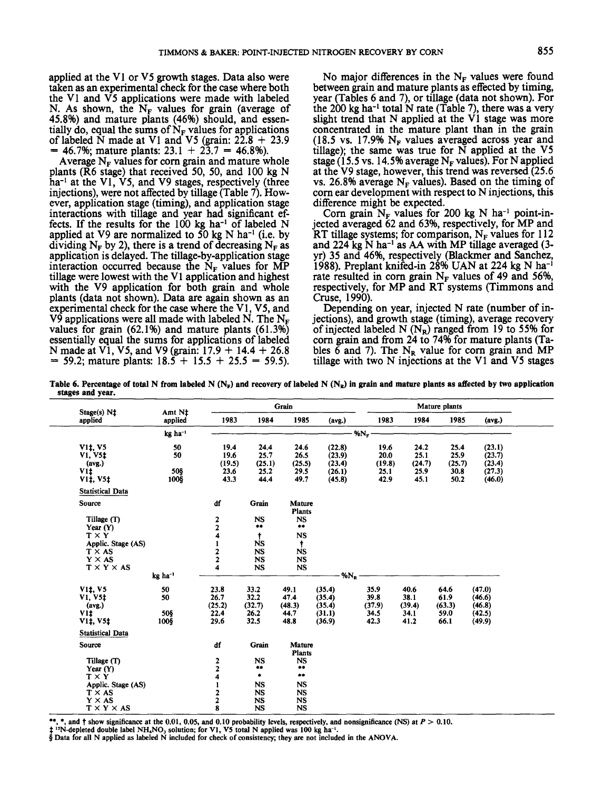applied at the **V1** or **V5** growth stages. Data also were taken as an experimental check for the case where both the **V1** and **V5** applications were made with labeled N. As shown, the  $N_F$  values for grain (average of 45.8%) and mature plants (46%) should, and essentially do, equal the sums of  $N_F$  values for applications of labeled N made at **V1** and **V5** (grain:  $22.8 + 23.9$  =  $46.7\%$ ; mature plants:  $23.1 + 23.7 = 46.8\%$ ).

Average  $N_F$  values for corn grain and mature whole plants **(R6** stage) that received 50, 50, and **100** kg N ha-1 at the **VI, V5,** and **V9** stages, respectively (three injections), were not affected by tillage (Table **7).** Howinteractions with tillage and year had significant effects. If the results for the  $100 \text{ kg}$  ha<sup>-1</sup> of labeled N applied at V9 are normalized to 50 kg N ha<sup>-1</sup> (i.e. by dividing  $N_F$  by 2), there is a trend of decreasing  $N_F$  as application is delayed. The tillage-by-application stage interaction occurred because the  $N_F$  values for MP tillage were lowest with the **VI** application and highest with the **V9** application for both grain and whole plants (data not shown). Data are again shown as an expenmental check for the case where the **V1** , **V5,** and  $V^{\hat{9}}$  applications were all made with labeled N. The N<sub>F</sub> values for grain **(62.1%)** and mature plants **(61.3%)**  essentially equal the sums for applications of labeled N made at **V1, V5,** and **V9** (grain: **17.9** + **14.4** + **26.8** = **59.2;** mature plants: **18.5** + **15.5** + **25.5** = **59.5).** 

No major differences in the  $N_F$  values were found between grain and mature plants as effected by timing, year (Tables **6** and **7),** or tillage (data not shown). For the  $200 \text{ kg}$  ha<sup>-1</sup> total N rate (Table 7), there was a very slight trend that N applied at the **V1** stage was more concentrated in the mature plant than in the grain  $(18.5 \text{ vs. } 17.9\% \text{ N}_{\text{F}} \text{ values averaged across year and})$ tillage); the same was true for N applied at the **V5**  stage  $(15.5 \text{ vs. } 14.5\% \text{ average } N_F \text{ values})$ . For N applied at the **V9** stage, however, this trend was reversed **(25.6**  vs. 26.8% average  $N_F$  values). Based on the timing of corn ear development with respect to  $N$  injections, this

difference might be expected.<br>Corn grain  $N_F$  values for 200 kg N ha<sup>-1</sup> point-in-<br>jected averaged 62 and 63%, respectively, for MP and RT tillage systems; for comparison,  $N_F$  values for 112 and **224** kg N ha-' as **AA** with MP tillage averaged **(3**  yr) **35** and **46%,** respectively (Blackmer and Sanchez, **1988).** Preplant knifed-in **28%** UAN at **224 kg** N ha-' rate resulted in corn grain  $N_F$  values of 49 and 56%, respectively, for MP and RT systems (Timmons and Cruse, **1990).** 

Depending on year, injected N rate (number of in-<br>jections), and growth stage (timing), average recovery of injected labeled N  $(N_R)$  ranged from 19 to 55% for corn grain and from **24** to **74%** for mature plants (Tables  $\bar{6}$  and 7). The N<sub>R</sub> value for corn grain and MP tillage with two N injections at the **V1** and **V5** stages

Table 6. Percentage of total N from labeled N (N<sub>F</sub>) and recovery of labeled N (N<sub>E</sub>) in grain and mature plants as affected by two application **stages and year.** 

| $Stage(s) N+$                                                                  |                         | Grain<br>Amt Nt                        |                                                  |                                                   |                                                |                                        |                                        | Mature plants                          |                                                |  |  |  |  |
|--------------------------------------------------------------------------------|-------------------------|----------------------------------------|--------------------------------------------------|---------------------------------------------------|------------------------------------------------|----------------------------------------|----------------------------------------|----------------------------------------|------------------------------------------------|--|--|--|--|
| applied                                                                        | applied                 | 1983                                   | 1984                                             | 1985                                              | (avg.)                                         | 1983                                   | 1984                                   | 1985                                   | (avg.)                                         |  |  |  |  |
|                                                                                | $kg$ ha <sup>-1</sup>   |                                        |                                                  |                                                   |                                                | $%N_F$                                 |                                        |                                        |                                                |  |  |  |  |
| V <sub>1</sub> <sup>t</sup> , V <sub>5</sub><br>$V1, V5$ ‡<br>(avg.)<br>V11    | 50<br>50<br>50§         | 19.4<br>19.6<br>(19.5)<br>23.6         | 24.4<br>25.7<br>(25.1)<br>25.2                   | 24.6<br>26.5<br>(25.5)<br>29.5                    | (22.8)<br>(23.9)<br>(23.4)<br>(26.1)           | 19.6<br>20.0<br>(19.8)<br>25.1         | 24.2<br>25.1<br>(24.7)<br>25.9         | 25.4<br>25.9<br>(25.7)<br>30.8         | (23.1)<br>(23.7)<br>(23.4)<br>(27.3)           |  |  |  |  |
| V1‡, V5‡<br><b>Statistical Data</b>                                            | 100§                    | 43.3                                   | 44.4                                             | 49.7                                              | (45.8)                                         | 42.9                                   | 45.1                                   | 50.2                                   | (46.0)                                         |  |  |  |  |
| Source                                                                         |                         | df                                     | Grain                                            | Mature<br><b>Plants</b>                           |                                                |                                        |                                        |                                        |                                                |  |  |  |  |
| Tillage (T)<br>Year $(Y)$<br>$T \times Y$                                      |                         | 2<br>$\overline{\mathbf{c}}$<br>4      | <b>NS</b><br>$\bullet\bullet$<br>ŧ               | <b>NS</b><br>$\bullet\bullet$<br><b>NS</b>        |                                                |                                        |                                        |                                        |                                                |  |  |  |  |
| Applic. Stage (AS)<br>$T \times AS$<br>$Y \times AS$<br>$T \times Y \times AS$ |                         | 2<br>$\overline{a}$<br>4               | <b>NS</b><br><b>NS</b><br><b>NS</b><br><b>NS</b> | $\ddagger$<br><b>NS</b><br><b>NS</b><br><b>NS</b> |                                                |                                        |                                        |                                        |                                                |  |  |  |  |
|                                                                                | kg ha <sup>-1</sup>     |                                        |                                                  |                                                   | $%N_{R}$                                       |                                        |                                        |                                        |                                                |  |  |  |  |
| V11, V5<br>V1, V5‡<br>(avg.)<br>V11<br>V11, V51                                | 50<br>50<br>508<br>1008 | 23.8<br>26.7<br>(25.2)<br>22.4<br>29.6 | 33.2<br>32.2<br>(32.7)<br>26.2<br>32.5           | 49.1<br>47.4<br>(48.3)<br>44.7<br>48.8            | (35.4)<br>(35.4)<br>(35.4)<br>(31.1)<br>(36.9) | 35.9<br>39.8<br>(37.9)<br>34.5<br>42.3 | 40.6<br>38.1<br>(39.4)<br>34.1<br>41.2 | 64.6<br>61.9<br>(63.3)<br>59.0<br>66.1 | (47.0)<br>(46.6)<br>(46.8)<br>(42.5)<br>(49.9) |  |  |  |  |
| <b>Statistical Data</b>                                                        |                         |                                        |                                                  |                                                   |                                                |                                        |                                        |                                        |                                                |  |  |  |  |
| Source                                                                         |                         | df                                     | Grain                                            | <b>Mature</b><br><b>Plants</b>                    |                                                |                                        |                                        |                                        |                                                |  |  |  |  |
| Tillage (T)<br>Year $(Y)$<br>$T \times Y$                                      |                         | $\frac{2}{2}$<br>4                     | <b>NS</b><br>**<br>٠                             | <b>NS</b><br>$***$<br>$\bullet\bullet$            |                                                |                                        |                                        |                                        |                                                |  |  |  |  |
| Applic. Stage (AS)<br>$T \times AS$<br>$Y \times AS$                           |                         | 1<br>2<br>$\overline{\mathbf{c}}$      | <b>NS</b><br><b>NS</b><br><b>NS</b>              | <b>NS</b><br><b>NS</b><br>NS                      |                                                |                                        |                                        |                                        |                                                |  |  |  |  |

\*, and  $\dagger$  show significance at the 0.01, 0.05, and 0.10 probability levels, respectively, and nonsignificance (NS) at  $P > 0.10$ .

<sup>15</sup>N-depleted double label NH<sub>4</sub>NO<sub>3</sub> solution; for V1, V5 total N applied was 100 kg ha<sup>-1</sup>

4 **Data for all N applied as labeled N included for check of consistency; they are not included in the ANOVA.**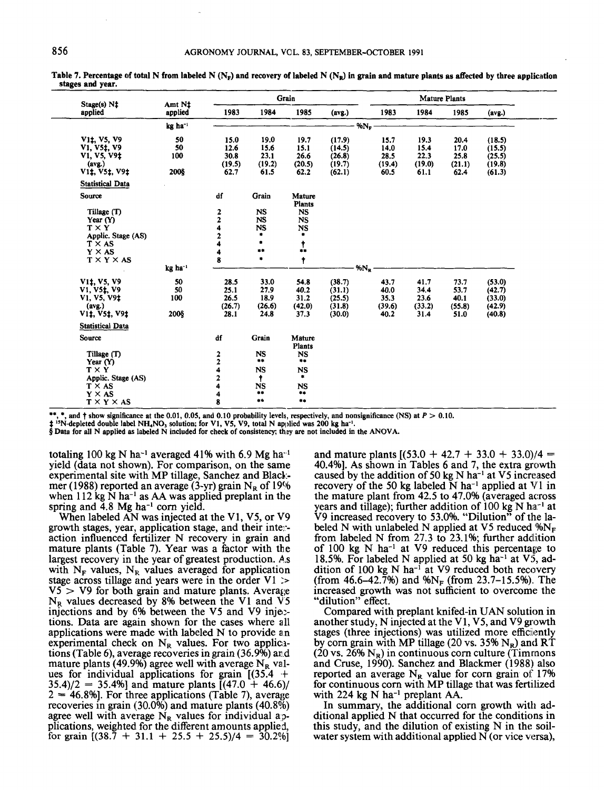| $Stage(s) N+$                                                                                                                  | Amt Nt                | Grain          |                        |                         |                  |          | Mature Plants  |                |                |                  |  |
|--------------------------------------------------------------------------------------------------------------------------------|-----------------------|----------------|------------------------|-------------------------|------------------|----------|----------------|----------------|----------------|------------------|--|
| applied                                                                                                                        | applied               | 1983           | 1984                   | 1985                    | (avg.)           |          | 1983           | 1984           | 1985           | (avg.)           |  |
|                                                                                                                                | $kg$ ha <sup>-1</sup> |                |                        |                         |                  | $%N_{R}$ |                |                |                |                  |  |
| V <sub>1</sub> <sup>t</sup> , V <sub>5</sub> , V <sub>9</sub><br>V <sub>1</sub> , V <sub>5</sub> <sup>†</sup> , V <sub>9</sub> | 50<br>50              | 15.0<br>12.6   | 19.0<br>15.6           | 19.7<br>15.1            | (17.9)<br>(14.5) |          | 15.7<br>14.0   | 19.3<br>15.4   | 20.4<br>17.0   | (18.5)<br>(15.5) |  |
| V1, V5, V9‡<br>(avg.)                                                                                                          | 100                   | 30.8<br>(19.5) | 23.1<br>(19.2)         | 26.6<br>(20.5)          | (26.8)<br>(19.7) |          | 28.5<br>(19.4) | 22,3<br>(19.0) | 25.8<br>(21.1) | (25.5)<br>(19.8) |  |
| V <sub>1</sub> ‡, V <sub>5</sub> ‡, V <sub>9</sub> ‡<br><b>Statistical Data</b>                                                | 2008                  | 62.7           | 61.5                   | 62.2                    | (62.1)           |          | 60.5           | 61.1           | 62.4           | (61.3)           |  |
| Source                                                                                                                         |                       | df             | Grain                  | Mature<br><b>Plants</b> |                  |          |                |                |                |                  |  |
| Tillage (T)<br>Year $(Y)$                                                                                                      |                       | 2<br>2         | <b>NS</b><br><b>NS</b> | NS<br><b>NS</b>         |                  |          |                |                |                |                  |  |
| $T \times Y$<br>Applic. Stage (AS)                                                                                             |                       | 4<br>2         | <b>NS</b><br>۰         | <b>NS</b><br>٠          |                  |          |                |                |                |                  |  |
| $T \times AS$<br>$Y \times AS$                                                                                                 |                       | 4<br>4         | ٠<br>$\bullet\bullet$  | $\mathbf{t}$            |                  |          |                |                |                |                  |  |
| $T \times Y \times AS$                                                                                                         | kg ha <sup>-1</sup>   | 8              | ٠                      | $\ddagger$              |                  | $%N_R$   |                |                |                |                  |  |
| V <sub>1</sub> t, V <sub>5</sub> , V <sub>9</sub>                                                                              | 50                    | 28.5           | 33.0                   | 54.8                    | (38.7)           |          | 43.7           | 41.7           | 73.7           | (53.0)           |  |
| V1, V51, V9<br>V1, V5, V9‡                                                                                                     | 50<br>100             | 25.1<br>26.5   | 27.9<br>18.9           | 40.2<br>31,2            | (31.1)<br>(25.5) |          | 40.0<br>35.3   | 34.4<br>23.6   | 53.7<br>40.1   | (42.7)<br>(33.0) |  |
| (avg.)<br>V <sub>1</sub> 1, V <sub>5</sub> 1, V <sub>9</sub> <sup>1</sup>                                                      | 200§                  | (26.7)<br>28.1 | (26.6)<br>24.8         | (42.0)<br>37.3          | (31.8)<br>(30.0) |          | (39.6)<br>40.2 | (33.2)<br>31.4 | (55.8)<br>51.0 | (42.9)<br>(40.8) |  |
| <b>Statistical Data</b>                                                                                                        |                       |                |                        |                         |                  |          |                |                |                |                  |  |
| <b>Source</b>                                                                                                                  |                       | df             | Grain                  | Mature<br><b>Plants</b> |                  |          |                |                |                |                  |  |
| Tillage (T)<br>Year $(Y)$                                                                                                      |                       | $\frac{2}{2}$  | <b>NS</b><br>**        | <b>NS</b><br>$***$      |                  |          |                |                |                |                  |  |
| $T \times Y$<br>Applic. Stage (AS)                                                                                             |                       | 2              | <b>NS</b><br>Ť.        | <b>NS</b><br>۰.         |                  |          |                |                |                |                  |  |
| $T \times AS$                                                                                                                  |                       | 4              | <b>NS</b><br>**        | <b>NS</b><br>**         |                  |          |                |                |                |                  |  |
| $Y \times AS$<br>$T \times Y \times AS$                                                                                        |                       | 4<br>8         | $***$                  | $***$                   |                  |          |                |                |                |                  |  |

**stages and year.** 

\*\*, \*, **and t show significance at the** 0.01, **0.05, and** 0.10 **probability levels, respectively, and nonsignificance (NS) at** *P* > 0.10.

<sup>13</sup>N-depleted double label NH<sub>4</sub>NO<sub>3</sub> solution; for V1, V5, V9, total N applied was 200 kg ha<sup>-1</sup>.

*8* **Data for all N applied as labeled N included for check of consistenv, they are not included in the ANOVA.** 

totaling 100 kg N ha<sup>-1</sup> averaged 41% with 6.9 Mg ha<sup>-1</sup> yield (data not shown). For comparison, on the same experimental site with MP tillage, Sanchez and Black. mer (1988) reported an average (3-yr) grain  $N_R$  of 19% when  $112$  kg N ha<sup>-1</sup> as AA was applied preplant in the spring and  $\overline{4.8}$  Mg ha<sup>-1</sup> corn yield.

When labeled AN was injected at the VI, V5, or V9 growth stages, year, application stage, and their inte:- action influenced fertilizer N recovery in grain and mature plants (Table 7). Year was a factor with the largest recovery in the year of greatest production. *As*  with  $N_F$  values,  $N_R$  values averaged for application stage across tillage and years were in the order V1 :>  $V5 > V9$  for both grain and mature plants. Average  $N_R$  values decreased by 8% between the V1 and  $\overline{V5}$ injections and by 6% between the V5 and V9 injections. Data are again shown for the cases where all applications were made with labeled N to provide an experimental check on  $N_R$  values. For two applications (Table 6), average recoveries in grain (36.9%) and mature plants (49.9%) agree well with average  $N_R$  valmature plants (49.9%) agree well with average  $N_R$  values for individual applications for grain  $[(35.4 +$  $35.4/2 = 35.4%$ ] and mature plants  $[(47.0 + 46.6)]$  $2 = 46.8\%$ ]. For three applications (Table 7), average recoveries in grain (30.0%) and mature plants (40.896) agree well with average  $N_R$  values for individual applications, weighted for the different amounts applied, for grain **[(38.7** + **31.1** + **25.5** + **25.5)/4** = **30.2941**  and mature plants  $[(53.0 + 42.7 + 33.0 + 33.0)/4 =$ 40.4%]. As shown in Tables 6 and 7, the extra growth caused by the addition of 50 kg N ha<sup>-1</sup> at V5 increased recovery of the 50 kg labeled  $\bar{N}$  ha<sup>-1</sup> applied at  $V1$  in the mature plant from 42.5 to 47.0% (averaged across years and tillage); further addition of  $100 \text{ kg N}$  ha<sup>-1</sup> at V9 increased recovery to 53.0%. "Dilution" of the labeled N with unlabeled N applied at V5 reduced  $\%N_F$ from labeled N from  $27.3$  to  $23.1\%$ ; further addition of 100 kg N ha<sup>-1</sup> at V9 reduced this percentage to 18.5%. For labeled N applied at 50 kg ha<sup>-1</sup> at  $V_5$ , addition of 100 kg N ha<sup>- $\overline{1}$ </sup> at V9 reduced both recovery (from 46.6–42.7%) and  $\%N_F$  (from 23.7–15.5%). The increased growth was not sufficient to overcome the "dilution" effect.

Compared with preplant knifed-in UAN solution in another study, N injected at the V1, V5, and V9 growth stages (three injections) was utilized more efficiently by corn grain with MP tillage (20 vs. 35%  $N_R$ ) and RT  $(20 \text{ vs. } 26\% \text{ N}_R)$  in continuous corn culture (Timmons and Cruse, 1990). Sanchez and Blackmer (1988) also reported an average  $N_R$  value for corn grain of 17% for continuous corn with MP tillage that was fertilized with 224 kg  $N$  ha<sup>-1</sup> preplant AA.

In summary, the additional corn growth with additional applied N that occurred for the conditions in this study, and the dilution of existing N in the soilwater system with additional applied N (or vice versa),